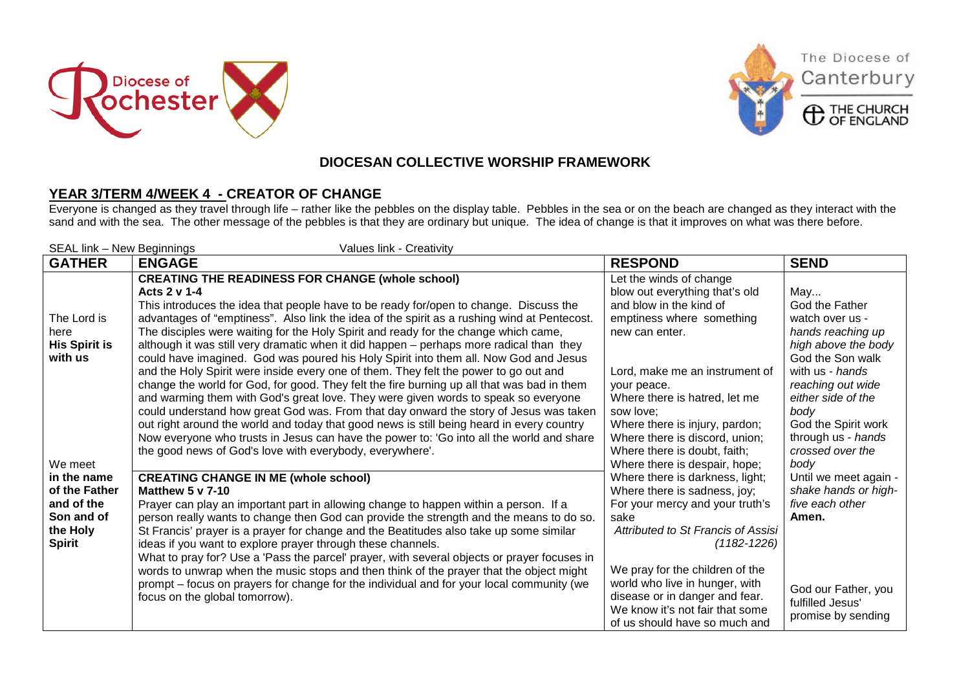





The Diocese of

Canterbury

## **DIOCESAN COLLECTIVE WORSHIP FRAMEWORK**

## **YEAR 3/TERM 4/WEEK 4 - CREATOR OF CHANGE**

Everyone is changed as they travel through life – rather like the pebbles on the display table. Pebbles in the sea or on the beach are changed as they interact with the sand and with the sea. The other message of the pebbles is that they are ordinary but unique. The idea of change is that it improves on what was there before.

| SEAL link - New Beginnings<br>Values link - Creativity |                                                                                                                                                                                                                                                                                                                                                                                                                                                                                                                                                                                                                                   |                                                                                                                                                                                                |                                                                                                                             |  |
|--------------------------------------------------------|-----------------------------------------------------------------------------------------------------------------------------------------------------------------------------------------------------------------------------------------------------------------------------------------------------------------------------------------------------------------------------------------------------------------------------------------------------------------------------------------------------------------------------------------------------------------------------------------------------------------------------------|------------------------------------------------------------------------------------------------------------------------------------------------------------------------------------------------|-----------------------------------------------------------------------------------------------------------------------------|--|
| <b>GATHER</b>                                          | <b>ENGAGE</b>                                                                                                                                                                                                                                                                                                                                                                                                                                                                                                                                                                                                                     | <b>RESPOND</b>                                                                                                                                                                                 | <b>SEND</b>                                                                                                                 |  |
| The Lord is<br>here<br><b>His Spirit is</b><br>with us | <b>CREATING THE READINESS FOR CHANGE (whole school)</b><br>Acts 2 v 1-4<br>This introduces the idea that people have to be ready for/open to change. Discuss the<br>advantages of "emptiness". Also link the idea of the spirit as a rushing wind at Pentecost.<br>The disciples were waiting for the Holy Spirit and ready for the change which came,<br>although it was still very dramatic when it did happen - perhaps more radical than they<br>could have imagined. God was poured his Holy Spirit into them all. Now God and Jesus<br>and the Holy Spirit were inside every one of them. They felt the power to go out and | Let the winds of change<br>blow out everything that's old<br>and blow in the kind of<br>emptiness where something<br>new can enter.<br>Lord, make me an instrument of                          | May<br>God the Father<br>watch over us -<br>hands reaching up<br>high above the body<br>God the Son walk<br>with us - hands |  |
| We meet                                                | change the world for God, for good. They felt the fire burning up all that was bad in them<br>and warming them with God's great love. They were given words to speak so everyone<br>could understand how great God was. From that day onward the story of Jesus was taken<br>out right around the world and today that good news is still being heard in every country<br>Now everyone who trusts in Jesus can have the power to: 'Go into all the world and share<br>the good news of God's love with everybody, everywhere'.                                                                                                    | your peace.<br>Where there is hatred, let me<br>sow love:<br>Where there is injury, pardon;<br>Where there is discord, union;<br>Where there is doubt, faith;<br>Where there is despair, hope; | reaching out wide<br>either side of the<br>body<br>God the Spirit work<br>through us - hands<br>crossed over the<br>body    |  |
| in the name                                            | <b>CREATING CHANGE IN ME (whole school)</b>                                                                                                                                                                                                                                                                                                                                                                                                                                                                                                                                                                                       | Where there is darkness, light;                                                                                                                                                                | Until we meet again -                                                                                                       |  |
| of the Father<br>and of the                            | <b>Matthew 5 v 7-10</b><br>Prayer can play an important part in allowing change to happen within a person. If a                                                                                                                                                                                                                                                                                                                                                                                                                                                                                                                   | Where there is sadness, joy;<br>For your mercy and your truth's                                                                                                                                | shake hands or high-<br>five each other                                                                                     |  |
| Son and of                                             | person really wants to change then God can provide the strength and the means to do so.                                                                                                                                                                                                                                                                                                                                                                                                                                                                                                                                           | sake<br>Attributed to St Francis of Assisi                                                                                                                                                     | Amen.                                                                                                                       |  |
| the Holy<br><b>Spirit</b>                              | St Francis' prayer is a prayer for change and the Beatitudes also take up some similar<br>ideas if you want to explore prayer through these channels.                                                                                                                                                                                                                                                                                                                                                                                                                                                                             | $(1182 - 1226)$                                                                                                                                                                                |                                                                                                                             |  |
|                                                        | What to pray for? Use a 'Pass the parcel' prayer, with several objects or prayer focuses in                                                                                                                                                                                                                                                                                                                                                                                                                                                                                                                                       |                                                                                                                                                                                                |                                                                                                                             |  |
|                                                        | words to unwrap when the music stops and then think of the prayer that the object might<br>prompt – focus on prayers for change for the individual and for your local community (we<br>focus on the global tomorrow).                                                                                                                                                                                                                                                                                                                                                                                                             | We pray for the children of the<br>world who live in hunger, with<br>disease or in danger and fear.<br>We know it's not fair that some<br>of us should have so much and                        | God our Father, you<br>fulfilled Jesus'<br>promise by sending                                                               |  |